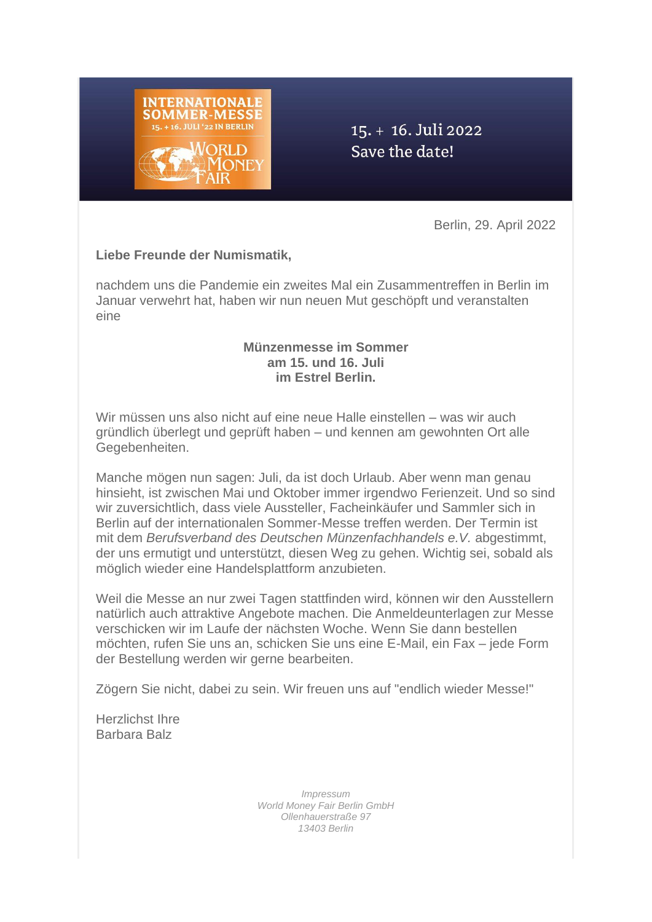

# 15. + 16. Juli 2022 Save the date!

Berlin, 29. April 2022

### **Liebe Freunde der Numismatik,**

nachdem uns die Pandemie ein zweites Mal ein Zusammentreffen in Berlin im Januar verwehrt hat, haben wir nun neuen Mut geschöpft und veranstalten eine

#### **Münzenmesse im Sommer am 15. und 16. Juli im Estrel Berlin.**

Wir müssen uns also nicht auf eine neue Halle einstellen – was wir auch gründlich überlegt und geprüft haben – und kennen am gewohnten Ort alle Gegebenheiten.

Manche mögen nun sagen: Juli, da ist doch Urlaub. Aber wenn man genau hinsieht, ist zwischen Mai und Oktober immer irgendwo Ferienzeit. Und so sind wir zuversichtlich, dass viele Aussteller, Facheinkäufer und Sammler sich in Berlin auf der internationalen Sommer-Messe treffen werden. Der Termin ist mit dem *Berufsverband des Deutschen Münzenfachhandels e.V.* abgestimmt, der uns ermutigt und unterstützt, diesen Weg zu gehen. Wichtig sei, sobald als möglich wieder eine Handelsplattform anzubieten.

Weil die Messe an nur zwei Tagen stattfinden wird, können wir den Ausstellern natürlich auch attraktive Angebote machen. Die Anmeldeunterlagen zur Messe verschicken wir im Laufe der nächsten Woche. Wenn Sie dann bestellen möchten, rufen Sie uns an, schicken Sie uns eine E-Mail, ein Fax – jede Form der Bestellung werden wir gerne bearbeiten.

Zögern Sie nicht, dabei zu sein. Wir freuen uns auf "endlich wieder Messe!"

Herzlichst Ihre Barbara Balz

> *Impressum World Money Fair Berlin GmbH Ollenhauerstraße 97 13403 Berlin*